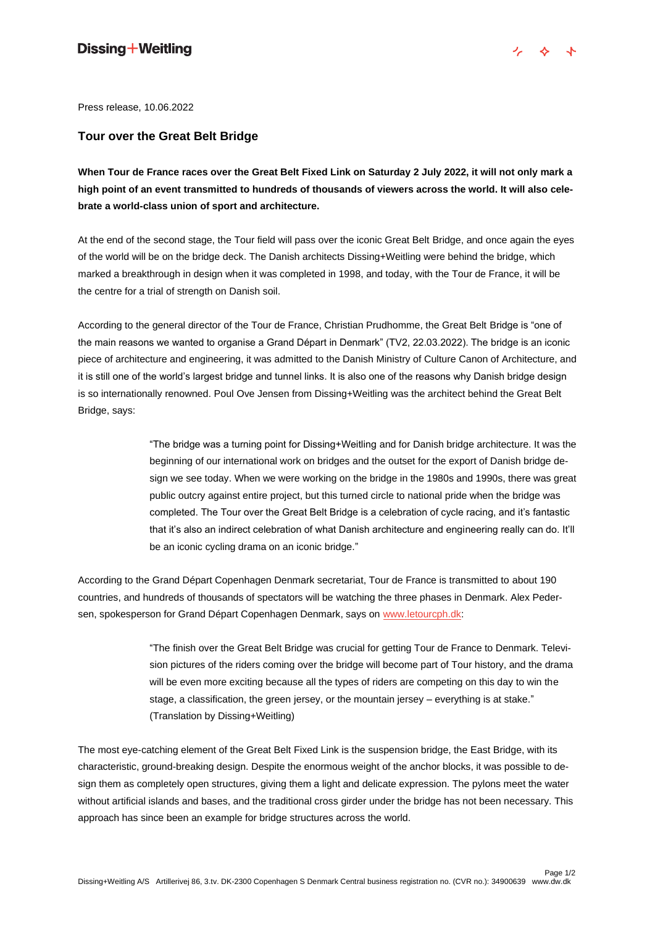Press release, 10.06.2022

#### **Tour over the Great Belt Bridge**

**When Tour de France races over the Great Belt Fixed Link on Saturday 2 July 2022, it will not only mark a high point of an event transmitted to hundreds of thousands of viewers across the world. It will also celebrate a world-class union of sport and architecture.** 

At the end of the second stage, the Tour field will pass over the iconic Great Belt Bridge, and once again the eyes of the world will be on the bridge deck. The Danish architects Dissing+Weitling were behind the bridge, which marked a breakthrough in design when it was completed in 1998, and today, with the Tour de France, it will be the centre for a trial of strength on Danish soil.

According to the general director of the Tour de France, Christian Prudhomme, the Great Belt Bridge is "one of the main reasons we wanted to organise a Grand Départ in Denmark" (TV2, 22.03.2022). The bridge is an iconic piece of architecture and engineering, it was admitted to the Danish Ministry of Culture Canon of Architecture, and it is still one of the world's largest bridge and tunnel links. It is also one of the reasons why Danish bridge design is so internationally renowned. Poul Ove Jensen from Dissing+Weitling was the architect behind the Great Belt Bridge, says:

> "The bridge was a turning point for Dissing+Weitling and for Danish bridge architecture. It was the beginning of our international work on bridges and the outset for the export of Danish bridge design we see today. When we were working on the bridge in the 1980s and 1990s, there was great public outcry against entire project, but this turned circle to national pride when the bridge was completed. The Tour over the Great Belt Bridge is a celebration of cycle racing, and it's fantastic that it's also an indirect celebration of what Danish architecture and engineering really can do. It'll be an iconic cycling drama on an iconic bridge."

According to the Grand Départ Copenhagen Denmark secretariat, Tour de France is transmitted to about 190 countries, and hundreds of thousands of spectators will be watching the three phases in Denmark. Alex Pedersen, spokesperson for Grand Départ Copenhagen Denmark, says on [www.letourcph.dk:](http://www.letourcph.dk/)

> "The finish over the Great Belt Bridge was crucial for getting Tour de France to Denmark. Television pictures of the riders coming over the bridge will become part of Tour history, and the drama will be even more exciting because all the types of riders are competing on this day to win the stage, a classification, the green jersey, or the mountain jersey – everything is at stake." (Translation by Dissing+Weitling)

The most eye-catching element of the Great Belt Fixed Link is the suspension bridge, the East Bridge, with its characteristic, ground-breaking design. Despite the enormous weight of the anchor blocks, it was possible to design them as completely open structures, giving them a light and delicate expression. The pylons meet the water without artificial islands and bases, and the traditional cross girder under the bridge has not been necessary. This approach has since been an example for bridge structures across the world.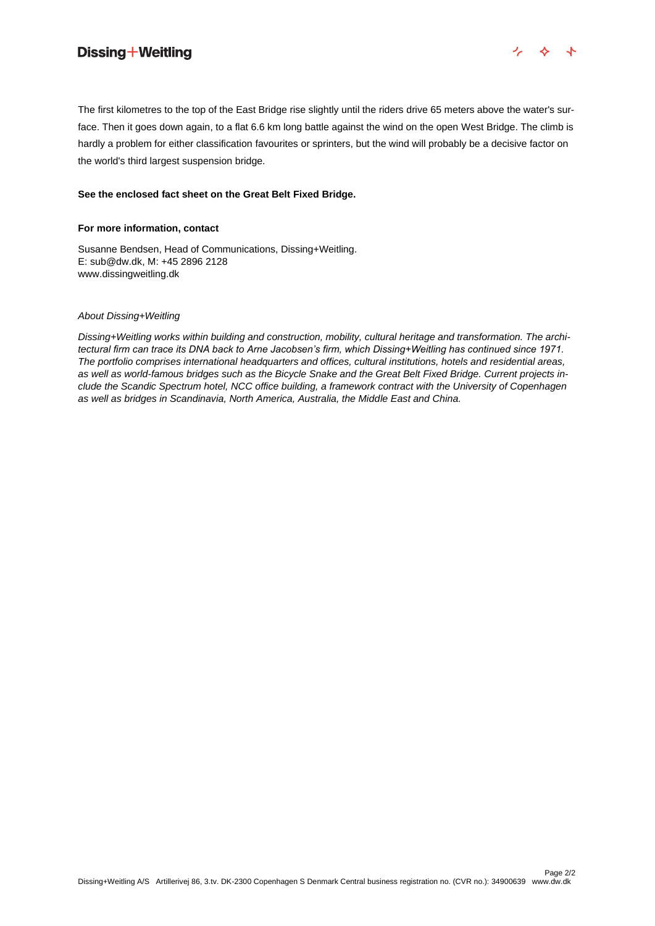## Dissing + Weitling



The first kilometres to the top of the East Bridge rise slightly until the riders drive 65 meters above the water's surface. Then it goes down again, to a flat 6.6 km long battle against the wind on the open West Bridge. The climb is hardly a problem for either classification favourites or sprinters, but the wind will probably be a decisive factor on the world's third largest suspension bridge.

#### **See the enclosed fact sheet on the Great Belt Fixed Bridge.**

#### **For more information, contact**

Susanne Bendsen, Head of Communications, Dissing+Weitling. E: sub@dw.dk, M: +45 2896 2128 www.dissingweitling.dk

#### *About Dissing+Weitling*

*Dissing+Weitling works within building and construction, mobility, cultural heritage and transformation. The architectural firm can trace its DNA back to Arne Jacobsen's firm, which Dissing+Weitling has continued since 1971. The portfolio comprises international headquarters and offices, cultural institutions, hotels and residential areas, as well as world-famous bridges such as the Bicycle Snake and the Great Belt Fixed Bridge. Current projects include the Scandic Spectrum hotel, NCC office building, a framework contract with the University of Copenhagen as well as bridges in Scandinavia, North America, Australia, the Middle East and China.*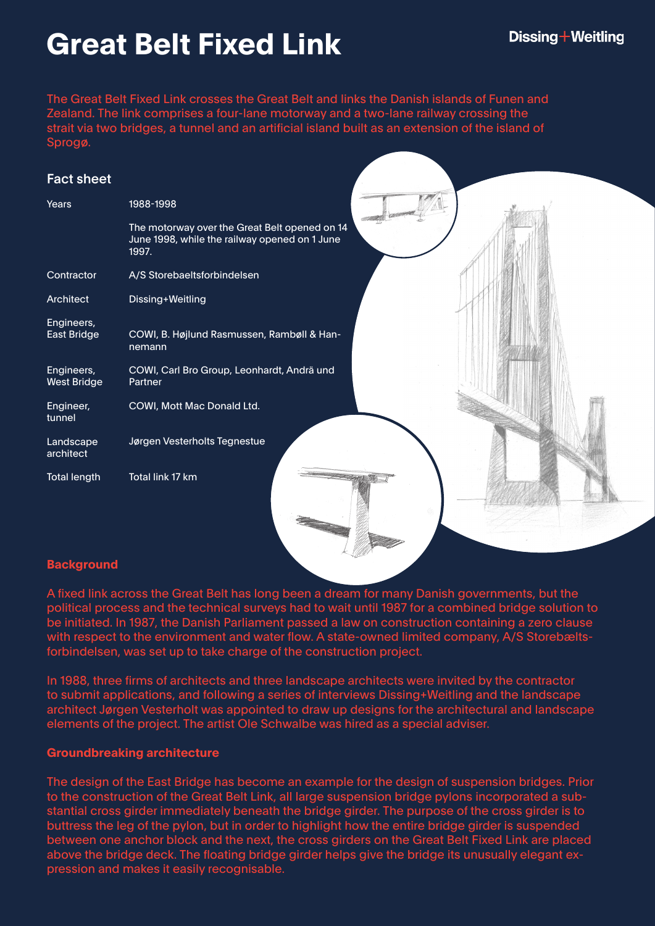# **Great Belt Fixed Link**

The Great Belt Fixed Link crosses the Great Belt and links the Danish islands of Funen and Zealand. The link comprises a four-lane motorway and a two-lane railway crossing the strait via two bridges, a tunnel and an artificial island built as an extension of the island of Sprogø.

## Fact sheet

| Years                            | 1988-1998                                                                                               |
|----------------------------------|---------------------------------------------------------------------------------------------------------|
|                                  | The motorway over the Great Belt opened on 14<br>June 1998, while the railway opened on 1 June<br>1997. |
| Contractor                       | A/S Storebaeltsforbindelsen                                                                             |
| Architect                        | Dissing+Weitling                                                                                        |
| Engineers,<br>East Bridge        | COWI, B. Højlund Rasmussen, Rambøll & Han-<br>nemann                                                    |
| Engineers,<br><b>West Bridge</b> | COWI, Carl Bro Group, Leonhardt, Andrä und<br>Partner                                                   |
| Engineer,<br>tunnel              | COWI, Mott Mac Donald Ltd.                                                                              |
| Landscape<br>architect           | Jørgen Vesterholts Tegnestue                                                                            |
| <b>Total length</b>              | Total link 17 km                                                                                        |

### **Background**

A fixed link across the Great Belt has long been a dream for many Danish governments, but the political process and the technical surveys had to wait until 1987 for a combined bridge solution to be initiated. In 1987, the Danish Parliament passed a law on construction containing a zero clause with respect to the environment and water flow. A state-owned limited company, A/S Storebæltsforbindelsen, was set up to take charge of the construction project.

In 1988, three firms of architects and three landscape architects were invited by the contractor to submit applications, and following a series of interviews Dissing+Weitling and the landscape architect Jørgen Vesterholt was appointed to draw up designs for the architectural and landscape elements of the project. The artist Ole Schwalbe was hired as a special adviser.

### **Groundbreaking architecture**

The design of the East Bridge has become an example for the design of suspension bridges. Prior to the construction of the Great Belt Link, all large suspension bridge pylons incorporated a substantial cross girder immediately beneath the bridge girder. The purpose of the cross girder is to buttress the leg of the pylon, but in order to highlight how the entire bridge girder is suspended between one anchor block and the next, the cross girders on the Great Belt Fixed Link are placed above the bridge deck. The floating bridge girder helps give the bridge its unusually elegant expression and makes it easily recognisable.